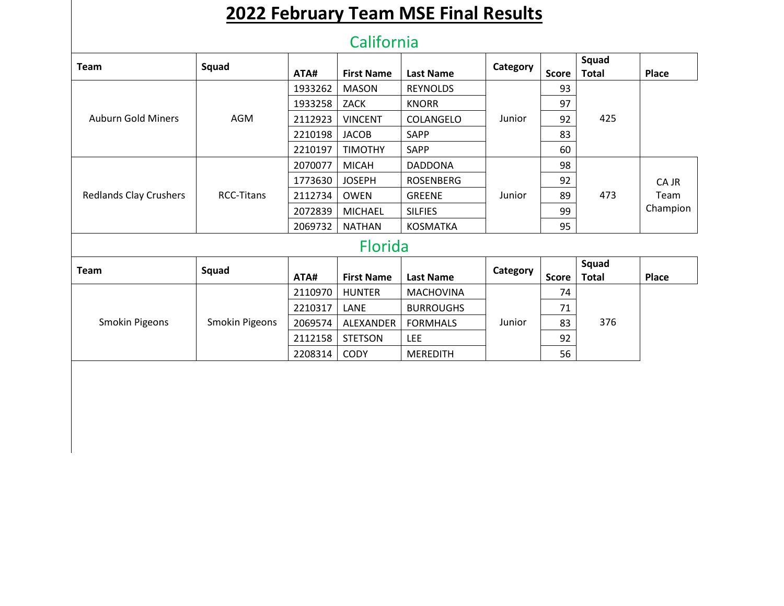## **2022 February Team MSE Final Results**

## California

| <b>Team</b>                   | Squad             |         |                   |                  | Category |              | Squad        |              |
|-------------------------------|-------------------|---------|-------------------|------------------|----------|--------------|--------------|--------------|
|                               |                   | ATA#    | <b>First Name</b> | <b>Last Name</b> |          | <b>Score</b> | <b>Total</b> | <b>Place</b> |
|                               |                   | 1933262 | <b>MASON</b>      | <b>REYNOLDS</b>  |          | 93           |              |              |
|                               |                   | 1933258 | ZACK              | <b>KNORR</b>     |          | 97           |              |              |
| <b>Auburn Gold Miners</b>     | AGM               | 2112923 | <b>VINCENT</b>    | COLANGELO        | Junior   | 92           | 425          |              |
|                               |                   | 2210198 | <b>JACOB</b>      | <b>SAPP</b>      |          | 83           |              |              |
|                               |                   | 2210197 | <b>TIMOTHY</b>    | <b>SAPP</b>      |          | 60           |              |              |
|                               | <b>RCC-Titans</b> | 2070077 | <b>MICAH</b>      | <b>DADDONA</b>   | Junior   | 98           | 473          |              |
|                               |                   | 1773630 | <b>JOSEPH</b>     | <b>ROSENBERG</b> |          | 92           |              | CA JR        |
| <b>Redlands Clay Crushers</b> |                   | 2112734 | <b>OWEN</b>       | <b>GREENE</b>    |          | 89           |              | Team         |
|                               |                   | 2072839 | <b>MICHAEL</b>    | <b>SILFIES</b>   |          | 99           |              | Champion     |
|                               |                   | 2069732 | <b>NATHAN</b>     | <b>KOSMATKA</b>  |          | 95           |              |              |
|                               |                   |         | .                 |                  |          |              |              |              |

## Florida

| <b>Team</b>    | Squad          |         |                   |                  | Category |              | Squad        |       |
|----------------|----------------|---------|-------------------|------------------|----------|--------------|--------------|-------|
|                |                | ATA#    | <b>First Name</b> | <b>Last Name</b> |          | <b>Score</b> | <b>Total</b> | Place |
| Smokin Pigeons | Smokin Pigeons | 2110970 | <b>HUNTER</b>     | <b>MACHOVINA</b> | Junior   | 74           | 376          |       |
|                |                | 2210317 | LANE              | <b>BURROUGHS</b> |          | 71           |              |       |
|                |                | 2069574 | ALEXANDER         | <b>FORMHALS</b>  |          | 83           |              |       |
|                |                | 2112158 | <b>STETSON</b>    | <b>LEE</b>       |          | 92           |              |       |
|                |                | 2208314 | <b>CODY</b>       | <b>MEREDITH</b>  |          | 56           |              |       |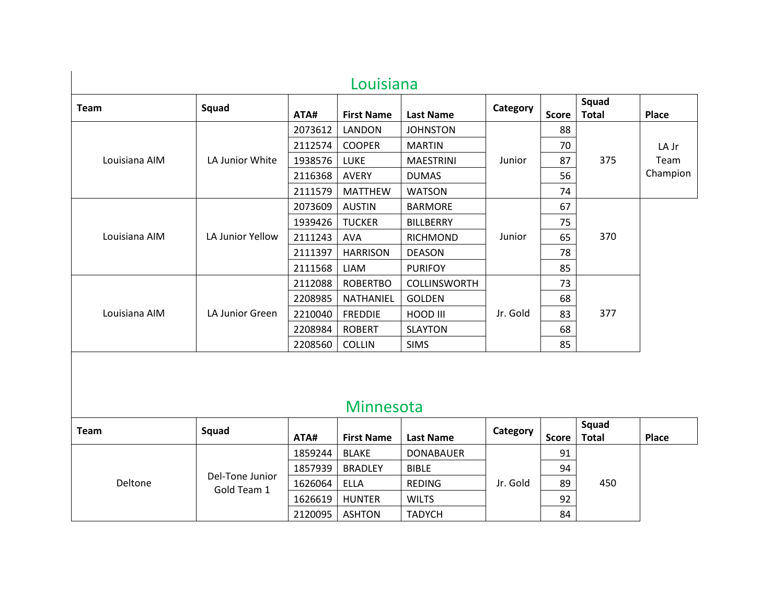| <b>Team</b>   | Squad            | ATA#    | <b>First Name</b> | <b>Last Name</b>    | Category | <b>Score</b> | Squad<br><b>Total</b> | Place    |
|---------------|------------------|---------|-------------------|---------------------|----------|--------------|-----------------------|----------|
|               |                  | 2073612 | LANDON            | <b>JOHNSTON</b>     |          | 88           |                       |          |
|               |                  | 2112574 | <b>COOPER</b>     | <b>MARTIN</b>       |          | 70           | 375                   | LA Jr    |
| Louisiana AIM | LA Junior White  | 1938576 | <b>LUKE</b>       | <b>MAESTRINI</b>    | Junior   | 87           |                       | Team     |
|               |                  | 2116368 | <b>AVERY</b>      | <b>DUMAS</b>        |          | 56           |                       | Champion |
|               |                  | 2111579 | <b>MATTHEW</b>    | <b>WATSON</b>       |          | 74           |                       |          |
|               |                  | 2073609 | <b>AUSTIN</b>     | <b>BARMORE</b>      | Junior   | 67           | 370                   |          |
|               |                  | 1939426 | <b>TUCKER</b>     | <b>BILLBERRY</b>    |          | 75           |                       |          |
| Louisiana AIM | LA Junior Yellow | 2111243 | AVA               | <b>RICHMOND</b>     |          | 65           |                       |          |
|               |                  | 2111397 | <b>HARRISON</b>   | <b>DEASON</b>       |          | 78           |                       |          |
|               |                  | 2111568 | LIAM              | <b>PURIFOY</b>      |          | 85           |                       |          |
|               |                  | 2112088 | <b>ROBERTBO</b>   | <b>COLLINSWORTH</b> |          | 73           |                       |          |
|               |                  | 2208985 | NATHANIEL         | <b>GOLDEN</b>       |          | 68           | 377                   |          |
| Louisiana AIM | LA Junior Green  | 2210040 | <b>FREDDIE</b>    | HOOD III            | Jr. Gold | 83           |                       |          |
|               |                  | 2208984 | <b>ROBERT</b>     | <b>SLAYTON</b>      |          | 68           |                       |          |
|               |                  | 2208560 | <b>COLLIN</b>     | <b>SIMS</b>         |          | 85           |                       |          |

## Minnesota

| Team    | Squad                          |         |                   |                  | Category |              | Squad        |       |
|---------|--------------------------------|---------|-------------------|------------------|----------|--------------|--------------|-------|
|         |                                | ATA#    | <b>First Name</b> | <b>Last Name</b> |          | <b>Score</b> | <b>Total</b> | Place |
| Deltone | Del-Tone Junior<br>Gold Team 1 | 1859244 | <b>BLAKE</b>      | <b>DONABAUER</b> | Jr. Gold | 91           | 450          |       |
|         |                                | 1857939 | <b>BRADLEY</b>    | <b>BIBLE</b>     |          | 94           |              |       |
|         |                                | 1626064 | ELLA              | <b>REDING</b>    |          | 89           |              |       |
|         |                                | 1626619 | <b>HUNTER</b>     | <b>WILTS</b>     |          | 92           |              |       |
|         |                                | 2120095 | <b>ASHTON</b>     | <b>TADYCH</b>    |          | 84           |              |       |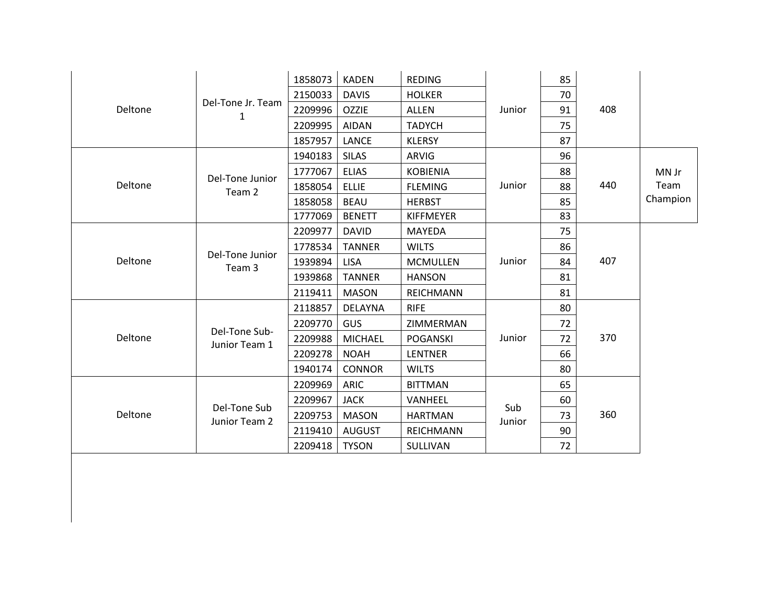|         | Del-Tone Jr. Team<br>1         | 1858073 | <b>KADEN</b>   | <b>REDING</b>    |               | 85 |     |          |
|---------|--------------------------------|---------|----------------|------------------|---------------|----|-----|----------|
|         |                                | 2150033 | <b>DAVIS</b>   | <b>HOLKER</b>    |               | 70 |     |          |
| Deltone |                                | 2209996 | <b>OZZIE</b>   | <b>ALLEN</b>     | Junior        | 91 | 408 |          |
|         |                                | 2209995 | <b>AIDAN</b>   | <b>TADYCH</b>    |               | 75 |     |          |
|         |                                | 1857957 | <b>LANCE</b>   | <b>KLERSY</b>    |               | 87 |     |          |
|         |                                | 1940183 | <b>SILAS</b>   | <b>ARVIG</b>     |               | 96 |     |          |
|         | Del-Tone Junior                | 1777067 | <b>ELIAS</b>   | <b>KOBIENIA</b>  |               | 88 |     | MN Jr    |
| Deltone | Team 2                         | 1858054 | <b>ELLIE</b>   | <b>FLEMING</b>   | Junior        | 88 | 440 | Team     |
|         |                                | 1858058 | <b>BEAU</b>    | <b>HERBST</b>    |               | 85 |     | Champion |
|         |                                | 1777069 | <b>BENETT</b>  | <b>KIFFMEYER</b> |               | 83 |     |          |
|         | Del-Tone Junior<br>Team 3      | 2209977 | <b>DAVID</b>   | MAYEDA           | Junior        | 75 |     |          |
|         |                                | 1778534 | <b>TANNER</b>  | <b>WILTS</b>     |               | 86 |     |          |
| Deltone |                                | 1939894 | <b>LISA</b>    | <b>MCMULLEN</b>  |               | 84 | 407 |          |
|         |                                | 1939868 | <b>TANNER</b>  | <b>HANSON</b>    |               | 81 |     |          |
|         |                                | 2119411 | <b>MASON</b>   | <b>REICHMANN</b> |               | 81 |     |          |
|         |                                | 2118857 | <b>DELAYNA</b> | <b>RIFE</b>      |               | 80 |     |          |
|         |                                | 2209770 | <b>GUS</b>     | ZIMMERMAN        |               | 72 |     |          |
| Deltone | Del-Tone Sub-<br>Junior Team 1 | 2209988 | <b>MICHAEL</b> | <b>POGANSKI</b>  | Junior        | 72 | 370 |          |
|         |                                | 2209278 | <b>NOAH</b>    | <b>LENTNER</b>   |               | 66 |     |          |
|         |                                | 1940174 | <b>CONNOR</b>  | <b>WILTS</b>     |               | 80 |     |          |
| Deltone |                                | 2209969 | <b>ARIC</b>    | <b>BITTMAN</b>   |               | 65 |     |          |
|         |                                | 2209967 | <b>JACK</b>    | VANHEEL          | Sub<br>Junior | 60 |     |          |
|         | Del-Tone Sub<br>Junior Team 2  | 2209753 | <b>MASON</b>   | <b>HARTMAN</b>   |               | 73 | 360 |          |
|         |                                | 2119410 | <b>AUGUST</b>  | <b>REICHMANN</b> |               | 90 |     |          |
|         |                                | 2209418 | <b>TYSON</b>   | SULLIVAN         |               | 72 |     |          |